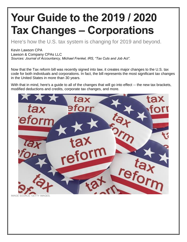# **Your Guide to the 2019 / 2020 Tax Changes – Corporations**

Here's how the U.S. tax system is changing for 2019 and beyond.

Kevin Lawson CPA

Lawson & Company CPAs LLC

*Sources: Journal of Accountancy, Michael Frenkel, IRS, "Tax Cuts and Job Act".*

Now that the Tax reform bill was recently signed into law, it creates major changes to the U.S. tax code for both individuals and corporations. In fact, the bill represents the most significant tax changes in the United States in more than 30 years.

With that in mind, here's a guide to all of the changes that will go into effect -- the new tax brackets, modified deductions and credits, corporate tax changes, and more.



**IMAGE SOURCE: GETTY IMAGES**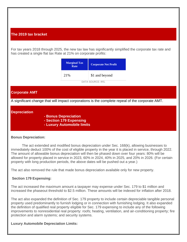## **The 2019 tax bracket**

For tax years 2018 through 2025, the new tax law has significantly simplified the corporate tax rate and has created a single flat tax Rate at 21% on corporate profits:

| <b>Marginal Tax</b><br>Rate | <b>Corporate Net Profit</b> |
|-----------------------------|-----------------------------|
| 21%                         | \$1 and beyond              |
| DATA SOURCE: IRS.           |                             |

## **Corporate AMT**

A significant change that will impact corporations is the complete repeal of the corporate AMT.

#### **Depreciation**

- **- Bonus Depreciation**
- **- Section 179 Expensing**
- **- Luxury Automobile limits**

#### **Bonus Depreciation:**

The act extended and modified bonus depreciation under Sec. 168(k), allowing businesses to immediately deduct 100% of the cost of eligible property in the year it is placed in service, through 2022. The amount of allowable bonus depreciation will then be phased down over four years: 80% will be allowed for property placed in service in 2023, 60% in 2024, 40% in 2025, and 20% in 2026. (For certain property with long production periods, the above dates will be pushed out a year.)

The act also removed the rule that made bonus depreciation available only for new property.

#### **Section 179 Expensing:**

The act increased the maximum amount a taxpayer may expense under Sec. 179 to \$1 million and increased the phaseout threshold to \$2.5 million. These amounts will be indexed for inflation after 2018.

The act also expanded the definition of Sec. 179 property to include certain depreciable tangible personal property used predominantly to furnish lodging or in connection with furnishing lodging. It also expanded the definition of qualified real property eligible for Sec. 179 expensing to include any of the following improvements to nonresidential real property: roofs; heating, ventilation, and air-conditioning property; fire protection and alarm systems; and security systems.

#### **Luxury Automobile Depreciation Limits:**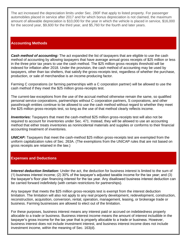The act increased the depreciation limits under Sec. 280F that apply to listed property. For passenger automobiles placed in service after 2017 and for which bonus depreciation is not claimed, the maximum amount of allowable depreciation is \$10,000 for the year in which the vehicle is placed in service, \$16,000 for the second year, \$9,600 for the third year, and \$5,760 for the fourth and later years.

## **Accounting Methods**

*Cash method of accounting:* The act expanded the list of taxpayers that are eligible to use the cash method of accounting by allowing taxpayers that have average annual gross receipts of \$25 million or less in the three prior tax years to use the cash method. The \$25 million gross-receipts threshold will be indexed for inflation after 2018. Under the provision, the cash method of accounting may be used by taxpayers, other than tax shelters, that satisfy the gross-receipts test, regardless of whether the purchase, production, or sale of merchandise is an income-producing factor.

Farming C corporations (or farming partnerships with a C corporation partner) will be allowed to use the cash method if they meet the \$25 million gross-receipts test.

The current-law exceptions from the use of the accrual method otherwise remain the same, so qualified personal service corporations, partnerships without C corporation partners, S corporations, and other passthrough entities continue to be allowed to use the cash method without regard to whether they meet the \$25 million gross-receipts test, so long as the use of that method clearly reflects income.

*Inventories:* Taxpayers that meet the cash-method \$25 million gross-receipts test will also not be required to account for inventories under Sec. 471. Instead, they will be allowed to use an accounting method that either treats inventories as nonincidental materials and supplies or conforms to their financial accounting treatment of inventories.

*UNICAP:* Taxpayers that meet the cash-method \$25 million gross-receipts test are exempted from the uniform capitalization rules of Sec. 263A. (The exemptions from the UNICAP rules that are not based on gross receipts are retained in the law.)

## **Expenses and Deductions**

*Interest deduction limitation:* Under the act, the deduction for business interest is limited to the sum of (1) business interest income; (2) 30% of the taxpayer's adjusted taxable income for the tax year; and (3) the taxpayer's floor plan financing interest for the tax year. Any disallowed business interest deduction can be carried forward indefinitely (with certain restrictions for partnerships).

Any taxpayer that meets the \$25 million gross-receipts test is exempt from the interest deduction limitation. The limitation will also not apply to any real property development, redevelopment, construction, reconstruction, acquisition, conversion, rental, operation, management, leasing, or brokerage trade or business. Farming businesses are allowed to elect out of the limitation.

For these purposes, business interest means any interest paid or accrued on indebtedness properly allocable to a trade or business. Business interest income means the amount of interest includible in the taxpayer's gross income for the tax year that is properly allocable to a trade or business. However, business interest does not include investment interest, and business interest income does not include investment income, within the meaning of Sec. 163(d).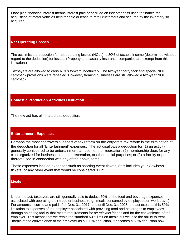Floor plan financing interest means interest paid or accrued on indebtedness used to finance the acquisition of motor vehicles held for sale or lease to retail customers and secured by the inventory so acquired.

## **Net Operating Losses**

The act limits the deduction for net operating losses (NOLs) to 80% of taxable income (determined without regard to the deduction) for losses. (Property and casualty insurance companies are exempt from this limitation.)

Taxpayers are allowed to carry NOLs forward indefinitely. The two-year carryback and special NOL carryback provisions were repealed. However, farming businesses are still allowed a two-year NOL carryback.

#### **Domestic Production Activities Deduction**

The new act has eliminated this deduction.

#### **Entertainment Expenses**

Perhaps the most controversial aspect of tax reform on the corporate tax reform is the elimination of the deduction for all "Entertainment" expenses. The act disallows a deduction for (1) an activity generally considered to be entertainment, amusement, or recreation; (2) membership dues for any club organized for business, pleasure, recreation, or other social purposes; or (3) a facility or portion thereof used in connection with any of the above items.

These expenses include expenses such as sporting event tickets, (this includes your Cowboys tickets) or any other event that would be considered "Fun".

#### **Meals**

Under the act, taxpayers are still generally able to deduct 50% of the food and beverage expenses associated with operating their trade or business (e.g., meals consumed by employees on work travel). For amounts incurred and paid after Dec. 31, 2017, and until Dec. 31, 2025, the act expands this 50% limitation to expenses of the employer associated with providing food and beverages to employees through an eating facility that meets requirements for *de minimis* fringes and for the convenience of the employer. This means that we retain the standard 50% limit on meals but we lose the ability to treat "meals at the convenience of the employer as a 100% deduction, it becomes a 50% deduction now.